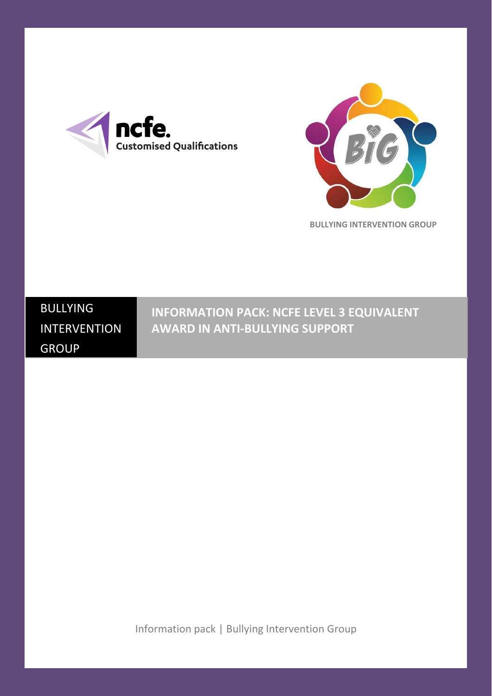



**BULLYING INTERVENTION GROUP**

# BULLYING INTERVENTION GROUP

**INFORMATION PACK: NCFE LEVEL 3 EQUIVALENT AWARD IN ANTI-BULLYING SUPPORT**

Information pack | Bullying Intervention Group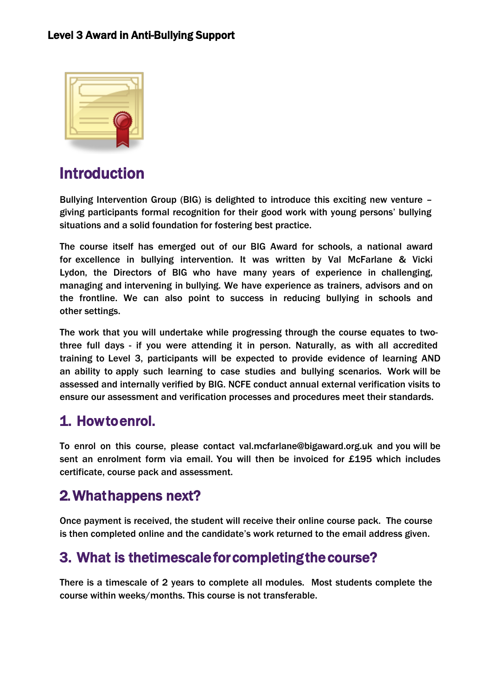

# Introduction

Bullying Intervention Group (BIG) is delighted to introduce this exciting new venture – giving participants formal recognition for their good work with young persons' bullying situations and a solid foundation for fostering best practice.

The course itself has emerged out of our BIG Award for schools, a national award for excellence in bullying intervention. It was written by Val McFarlane & Vicki Lydon, the Directors of BIG who have many years of experience in challenging, managing and intervening in bullying. We have experience as trainers, advisors and on the frontline. We can also point to success in reducing bullying in schools and other settings.

The work that you will undertake while progressing through the course equates to twothree full days - if you were attending it in person. Naturally, as with all accredited training to Level 3, participants will be expected to provide evidence of learning AND an ability to apply such learning to case studies and bullying scenarios. Work will be assessed and internally verified by BIG. NCFE conduct annual external verification visits to ensure our assessment and verification processes and procedures meet their standards.

### 1. How to enrol.

To enrol on this course, please contact val.mcfarlane@bigaward.org.uk and you will be sent an enrolment form via email. You will then be invoiced for £195 which includes certificate, course pack and assessment.

## 2.What happens next?

Once payment is received, the student will receive their online course pack. The course is then completed online and the candidate's work returned to the email address given.

### 3. What is the timescale for completing the course?

There is a timescale of 2 years to complete all modules. Most students complete the course within weeks/months. This course is not transferable.